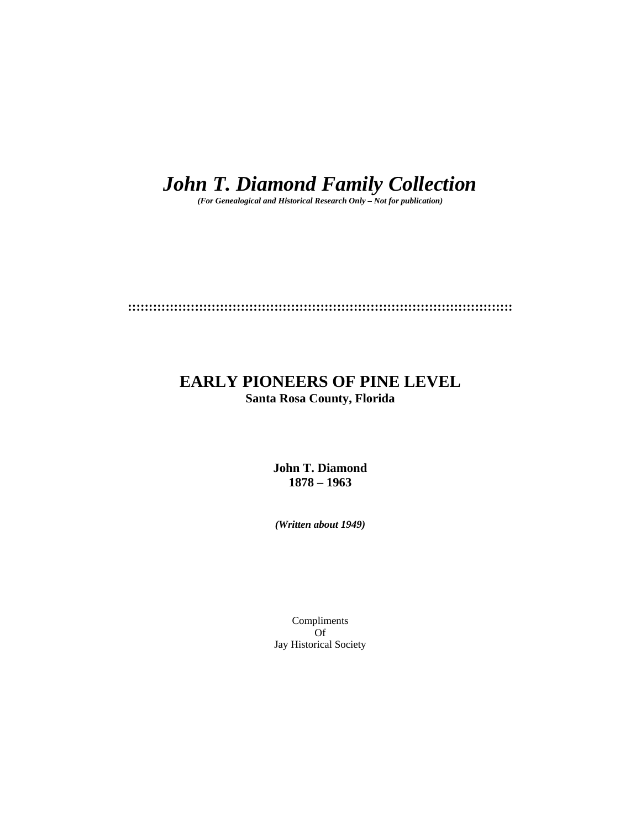# *John T. Diamond Family Collection*

*(For Genealogical and Historical Research Only – Not for publication)* 

**::::::::::::::::::::::::::::::::::::::::::::::::::::::::::::::::::::::::::::::::::::::::::::** 

# **EARLY PIONEERS OF PINE LEVEL Santa Rosa County, Florida**

**John T. Diamond 1878 – 1963** 

*(Written about 1949)* 

Compliments Of Jay Historical Society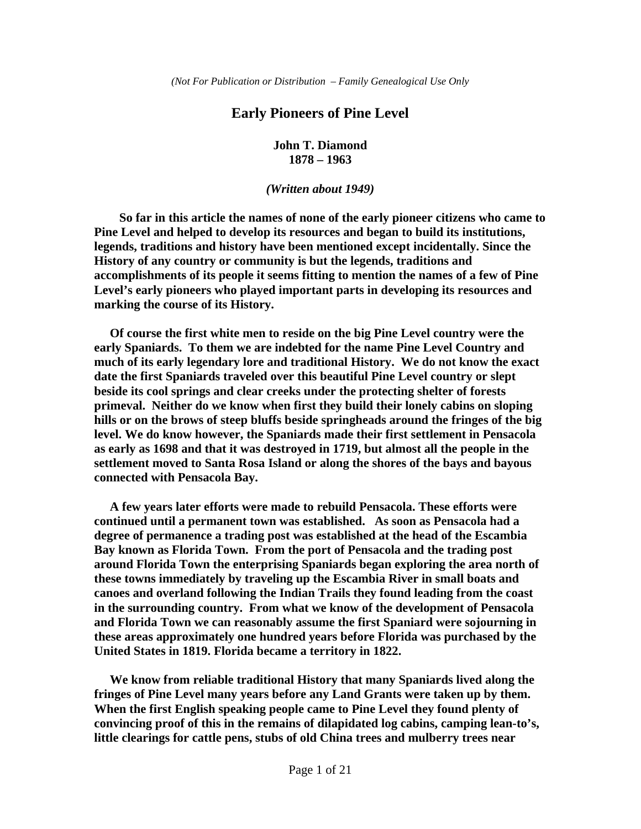## **Early Pioneers of Pine Level**

**John T. Diamond 1878 – 1963** 

#### *(Written about 1949)*

 **So far in this article the names of none of the early pioneer citizens who came to Pine Level and helped to develop its resources and began to build its institutions, legends, traditions and history have been mentioned except incidentally. Since the History of any country or community is but the legends, traditions and accomplishments of its people it seems fitting to mention the names of a few of Pine Level's early pioneers who played important parts in developing its resources and marking the course of its History.** 

 **Of course the first white men to reside on the big Pine Level country were the early Spaniards. To them we are indebted for the name Pine Level Country and much of its early legendary lore and traditional History. We do not know the exact date the first Spaniards traveled over this beautiful Pine Level country or slept beside its cool springs and clear creeks under the protecting shelter of forests primeval. Neither do we know when first they build their lonely cabins on sloping hills or on the brows of steep bluffs beside springheads around the fringes of the big level. We do know however, the Spaniards made their first settlement in Pensacola as early as 1698 and that it was destroyed in 1719, but almost all the people in the settlement moved to Santa Rosa Island or along the shores of the bays and bayous connected with Pensacola Bay.** 

 **A few years later efforts were made to rebuild Pensacola. These efforts were continued until a permanent town was established. As soon as Pensacola had a degree of permanence a trading post was established at the head of the Escambia Bay known as Florida Town. From the port of Pensacola and the trading post around Florida Town the enterprising Spaniards began exploring the area north of these towns immediately by traveling up the Escambia River in small boats and canoes and overland following the Indian Trails they found leading from the coast in the surrounding country. From what we know of the development of Pensacola and Florida Town we can reasonably assume the first Spaniard were sojourning in these areas approximately one hundred years before Florida was purchased by the United States in 1819. Florida became a territory in 1822.** 

 **We know from reliable traditional History that many Spaniards lived along the fringes of Pine Level many years before any Land Grants were taken up by them. When the first English speaking people came to Pine Level they found plenty of convincing proof of this in the remains of dilapidated log cabins, camping lean-to's, little clearings for cattle pens, stubs of old China trees and mulberry trees near**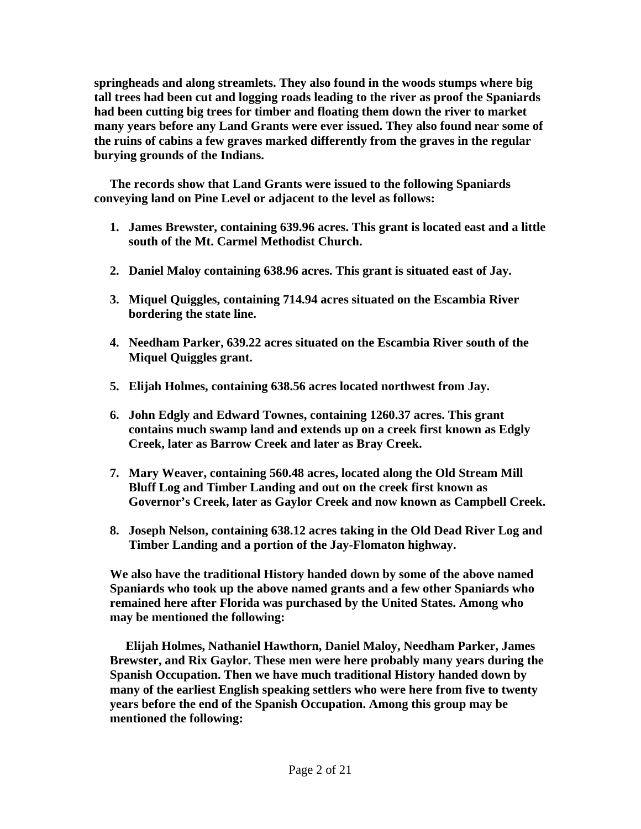**springheads and along streamlets. They also found in the woods stumps where big tall trees had been cut and logging roads leading to the river as proof the Spaniards had been cutting big trees for timber and floating them down the river to market many years before any Land Grants were ever issued. They also found near some of the ruins of cabins a few graves marked differently from the graves in the regular burying grounds of the Indians.** 

 **The records show that Land Grants were issued to the following Spaniards conveying land on Pine Level or adjacent to the level as follows:** 

- **1. James Brewster, containing 639.96 acres. This grant is located east and a little south of the Mt. Carmel Methodist Church.**
- **2. Daniel Maloy containing 638.96 acres. This grant is situated east of Jay.**
- **3. Miquel Quiggles, containing 714.94 acres situated on the Escambia River bordering the state line.**
- **4. Needham Parker, 639.22 acres situated on the Escambia River south of the Miquel Quiggles grant.**
- **5. Elijah Holmes, containing 638.56 acres located northwest from Jay.**
- **6. John Edgly and Edward Townes, containing 1260.37 acres. This grant contains much swamp land and extends up on a creek first known as Edgly Creek, later as Barrow Creek and later as Bray Creek.**
- **7. Mary Weaver, containing 560.48 acres, located along the Old Stream Mill Bluff Log and Timber Landing and out on the creek first known as Governor's Creek, later as Gaylor Creek and now known as Campbell Creek.**
- **8. Joseph Nelson, containing 638.12 acres taking in the Old Dead River Log and Timber Landing and a portion of the Jay-Flomaton highway.**

**We also have the traditional History handed down by some of the above named Spaniards who took up the above named grants and a few other Spaniards who remained here after Florida was purchased by the United States. Among who may be mentioned the following:** 

 **Elijah Holmes, Nathaniel Hawthorn, Daniel Maloy, Needham Parker, James Brewster, and Rix Gaylor. These men were here probably many years during the Spanish Occupation. Then we have much traditional History handed down by many of the earliest English speaking settlers who were here from five to twenty years before the end of the Spanish Occupation. Among this group may be mentioned the following:**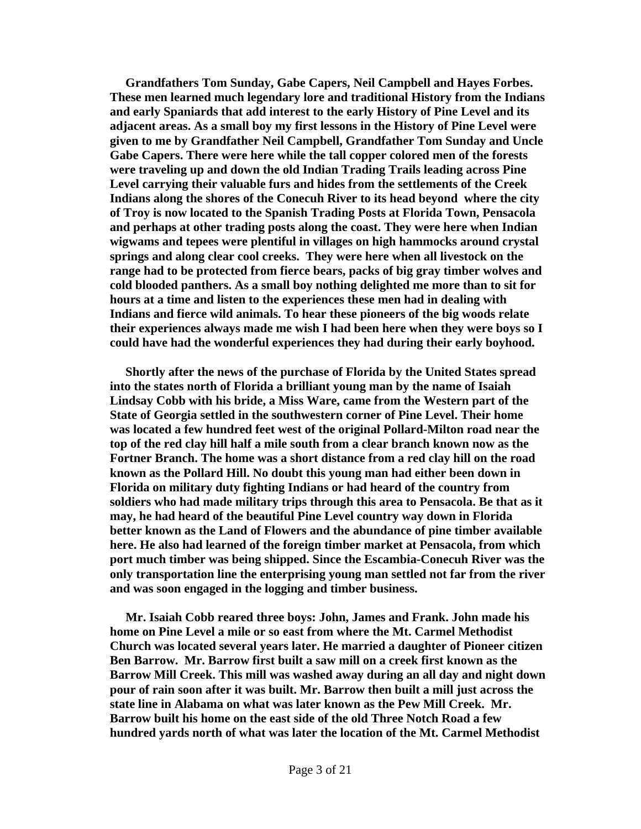**Grandfathers Tom Sunday, Gabe Capers, Neil Campbell and Hayes Forbes. These men learned much legendary lore and traditional History from the Indians and early Spaniards that add interest to the early History of Pine Level and its adjacent areas. As a small boy my first lessons in the History of Pine Level were given to me by Grandfather Neil Campbell, Grandfather Tom Sunday and Uncle Gabe Capers. There were here while the tall copper colored men of the forests were traveling up and down the old Indian Trading Trails leading across Pine Level carrying their valuable furs and hides from the settlements of the Creek Indians along the shores of the Conecuh River to its head beyond where the city of Troy is now located to the Spanish Trading Posts at Florida Town, Pensacola and perhaps at other trading posts along the coast. They were here when Indian wigwams and tepees were plentiful in villages on high hammocks around crystal springs and along clear cool creeks. They were here when all livestock on the range had to be protected from fierce bears, packs of big gray timber wolves and cold blooded panthers. As a small boy nothing delighted me more than to sit for hours at a time and listen to the experiences these men had in dealing with Indians and fierce wild animals. To hear these pioneers of the big woods relate their experiences always made me wish I had been here when they were boys so I could have had the wonderful experiences they had during their early boyhood.** 

 **Shortly after the news of the purchase of Florida by the United States spread into the states north of Florida a brilliant young man by the name of Isaiah Lindsay Cobb with his bride, a Miss Ware, came from the Western part of the State of Georgia settled in the southwestern corner of Pine Level. Their home was located a few hundred feet west of the original Pollard-Milton road near the top of the red clay hill half a mile south from a clear branch known now as the Fortner Branch. The home was a short distance from a red clay hill on the road known as the Pollard Hill. No doubt this young man had either been down in Florida on military duty fighting Indians or had heard of the country from soldiers who had made military trips through this area to Pensacola. Be that as it may, he had heard of the beautiful Pine Level country way down in Florida better known as the Land of Flowers and the abundance of pine timber available here. He also had learned of the foreign timber market at Pensacola, from which port much timber was being shipped. Since the Escambia-Conecuh River was the only transportation line the enterprising young man settled not far from the river and was soon engaged in the logging and timber business.** 

 **Mr. Isaiah Cobb reared three boys: John, James and Frank. John made his home on Pine Level a mile or so east from where the Mt. Carmel Methodist Church was located several years later. He married a daughter of Pioneer citizen Ben Barrow. Mr. Barrow first built a saw mill on a creek first known as the Barrow Mill Creek. This mill was washed away during an all day and night down pour of rain soon after it was built. Mr. Barrow then built a mill just across the state line in Alabama on what was later known as the Pew Mill Creek. Mr. Barrow built his home on the east side of the old Three Notch Road a few hundred yards north of what was later the location of the Mt. Carmel Methodist**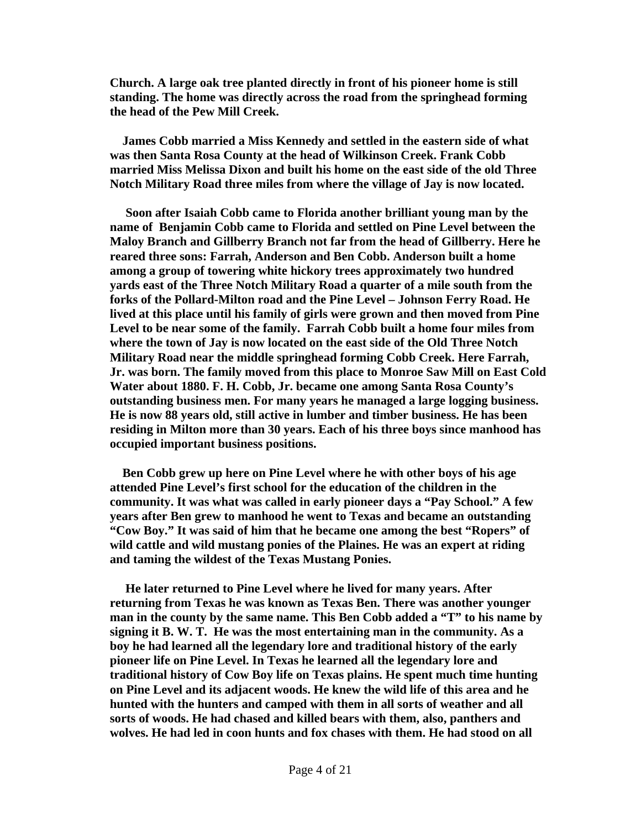**Church. A large oak tree planted directly in front of his pioneer home is still standing. The home was directly across the road from the springhead forming the head of the Pew Mill Creek.** 

 **James Cobb married a Miss Kennedy and settled in the eastern side of what was then Santa Rosa County at the head of Wilkinson Creek. Frank Cobb married Miss Melissa Dixon and built his home on the east side of the old Three Notch Military Road three miles from where the village of Jay is now located.** 

 **Soon after Isaiah Cobb came to Florida another brilliant young man by the name of Benjamin Cobb came to Florida and settled on Pine Level between the Maloy Branch and Gillberry Branch not far from the head of Gillberry. Here he reared three sons: Farrah, Anderson and Ben Cobb. Anderson built a home among a group of towering white hickory trees approximately two hundred yards east of the Three Notch Military Road a quarter of a mile south from the forks of the Pollard-Milton road and the Pine Level – Johnson Ferry Road. He lived at this place until his family of girls were grown and then moved from Pine Level to be near some of the family. Farrah Cobb built a home four miles from where the town of Jay is now located on the east side of the Old Three Notch Military Road near the middle springhead forming Cobb Creek. Here Farrah, Jr. was born. The family moved from this place to Monroe Saw Mill on East Cold Water about 1880. F. H. Cobb, Jr. became one among Santa Rosa County's outstanding business men. For many years he managed a large logging business. He is now 88 years old, still active in lumber and timber business. He has been residing in Milton more than 30 years. Each of his three boys since manhood has occupied important business positions.** 

 **Ben Cobb grew up here on Pine Level where he with other boys of his age attended Pine Level's first school for the education of the children in the community. It was what was called in early pioneer days a "Pay School." A few years after Ben grew to manhood he went to Texas and became an outstanding "Cow Boy." It was said of him that he became one among the best "Ropers" of wild cattle and wild mustang ponies of the Plaines. He was an expert at riding and taming the wildest of the Texas Mustang Ponies.** 

 **He later returned to Pine Level where he lived for many years. After returning from Texas he was known as Texas Ben. There was another younger man in the county by the same name. This Ben Cobb added a "T" to his name by signing it B. W. T. He was the most entertaining man in the community. As a boy he had learned all the legendary lore and traditional history of the early pioneer life on Pine Level. In Texas he learned all the legendary lore and traditional history of Cow Boy life on Texas plains. He spent much time hunting on Pine Level and its adjacent woods. He knew the wild life of this area and he hunted with the hunters and camped with them in all sorts of weather and all sorts of woods. He had chased and killed bears with them, also, panthers and wolves. He had led in coon hunts and fox chases with them. He had stood on all**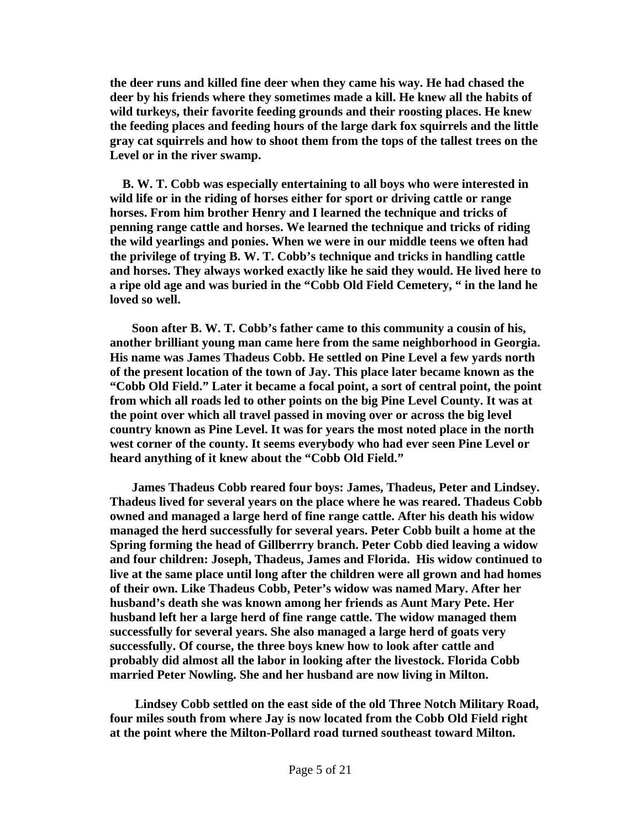**the deer runs and killed fine deer when they came his way. He had chased the deer by his friends where they sometimes made a kill. He knew all the habits of wild turkeys, their favorite feeding grounds and their roosting places. He knew the feeding places and feeding hours of the large dark fox squirrels and the little gray cat squirrels and how to shoot them from the tops of the tallest trees on the Level or in the river swamp.** 

 **B. W. T. Cobb was especially entertaining to all boys who were interested in wild life or in the riding of horses either for sport or driving cattle or range horses. From him brother Henry and I learned the technique and tricks of penning range cattle and horses. We learned the technique and tricks of riding the wild yearlings and ponies. When we were in our middle teens we often had the privilege of trying B. W. T. Cobb's technique and tricks in handling cattle and horses. They always worked exactly like he said they would. He lived here to a ripe old age and was buried in the "Cobb Old Field Cemetery, " in the land he loved so well.** 

 **Soon after B. W. T. Cobb's father came to this community a cousin of his, another brilliant young man came here from the same neighborhood in Georgia. His name was James Thadeus Cobb. He settled on Pine Level a few yards north of the present location of the town of Jay. This place later became known as the "Cobb Old Field." Later it became a focal point, a sort of central point, the point from which all roads led to other points on the big Pine Level County. It was at the point over which all travel passed in moving over or across the big level country known as Pine Level. It was for years the most noted place in the north west corner of the county. It seems everybody who had ever seen Pine Level or heard anything of it knew about the "Cobb Old Field."** 

 **James Thadeus Cobb reared four boys: James, Thadeus, Peter and Lindsey. Thadeus lived for several years on the place where he was reared. Thadeus Cobb owned and managed a large herd of fine range cattle. After his death his widow managed the herd successfully for several years. Peter Cobb built a home at the Spring forming the head of Gillberrry branch. Peter Cobb died leaving a widow and four children: Joseph, Thadeus, James and Florida. His widow continued to live at the same place until long after the children were all grown and had homes of their own. Like Thadeus Cobb, Peter's widow was named Mary. After her husband's death she was known among her friends as Aunt Mary Pete. Her husband left her a large herd of fine range cattle. The widow managed them successfully for several years. She also managed a large herd of goats very successfully. Of course, the three boys knew how to look after cattle and probably did almost all the labor in looking after the livestock. Florida Cobb married Peter Nowling. She and her husband are now living in Milton.** 

 **Lindsey Cobb settled on the east side of the old Three Notch Military Road, four miles south from where Jay is now located from the Cobb Old Field right at the point where the Milton-Pollard road turned southeast toward Milton.**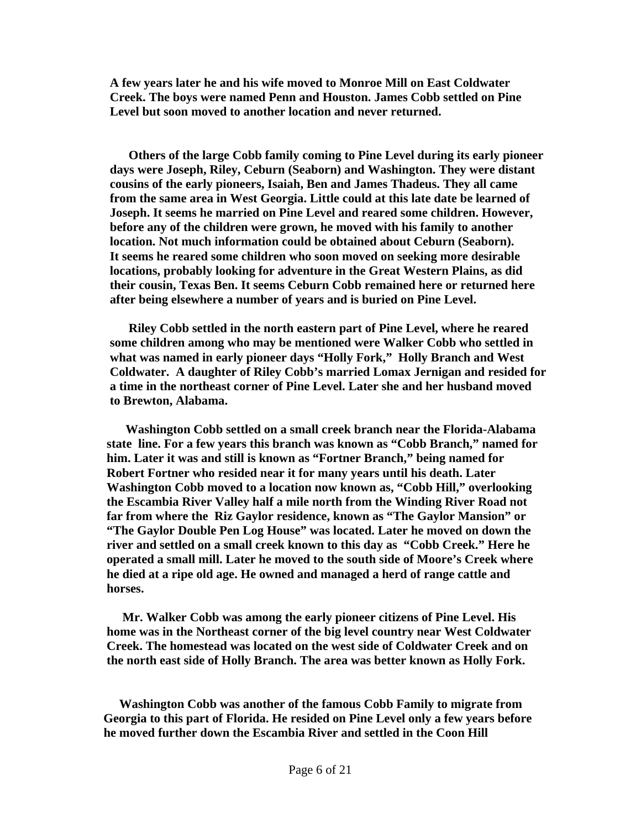**A few years later he and his wife moved to Monroe Mill on East Coldwater Creek. The boys were named Penn and Houston. James Cobb settled on Pine Level but soon moved to another location and never returned.** 

 **Others of the large Cobb family coming to Pine Level during its early pioneer days were Joseph, Riley, Ceburn (Seaborn) and Washington. They were distant cousins of the early pioneers, Isaiah, Ben and James Thadeus. They all came from the same area in West Georgia. Little could at this late date be learned of Joseph. It seems he married on Pine Level and reared some children. However, before any of the children were grown, he moved with his family to another location. Not much information could be obtained about Ceburn (Seaborn). It seems he reared some children who soon moved on seeking more desirable locations, probably looking for adventure in the Great Western Plains, as did their cousin, Texas Ben. It seems Ceburn Cobb remained here or returned here after being elsewhere a number of years and is buried on Pine Level.** 

 **Riley Cobb settled in the north eastern part of Pine Level, where he reared some children among who may be mentioned were Walker Cobb who settled in what was named in early pioneer days "Holly Fork," Holly Branch and West Coldwater. A daughter of Riley Cobb's married Lomax Jernigan and resided for a time in the northeast corner of Pine Level. Later she and her husband moved to Brewton, Alabama.** 

 **Washington Cobb settled on a small creek branch near the Florida-Alabama state line. For a few years this branch was known as "Cobb Branch," named for him. Later it was and still is known as "Fortner Branch," being named for Robert Fortner who resided near it for many years until his death. Later Washington Cobb moved to a location now known as, "Cobb Hill," overlooking the Escambia River Valley half a mile north from the Winding River Road not far from where the Riz Gaylor residence, known as "The Gaylor Mansion" or "The Gaylor Double Pen Log House" was located. Later he moved on down the river and settled on a small creek known to this day as "Cobb Creek." Here he operated a small mill. Later he moved to the south side of Moore's Creek where he died at a ripe old age. He owned and managed a herd of range cattle and horses.** 

 **Mr. Walker Cobb was among the early pioneer citizens of Pine Level. His home was in the Northeast corner of the big level country near West Coldwater Creek. The homestead was located on the west side of Coldwater Creek and on the north east side of Holly Branch. The area was better known as Holly Fork.** 

 **Washington Cobb was another of the famous Cobb Family to migrate from Georgia to this part of Florida. He resided on Pine Level only a few years before he moved further down the Escambia River and settled in the Coon Hill**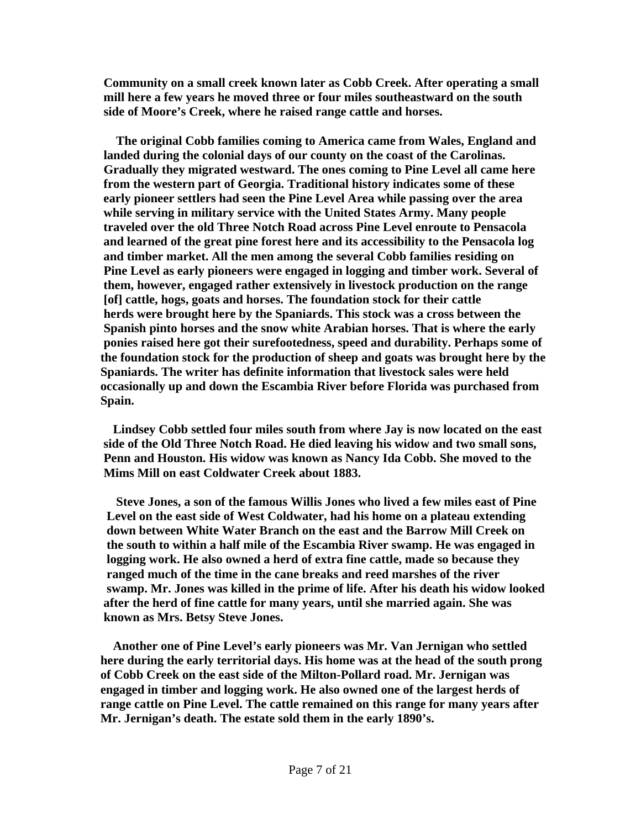**Community on a small creek known later as Cobb Creek. After operating a small mill here a few years he moved three or four miles southeastward on the south side of Moore's Creek, where he raised range cattle and horses.** 

 **The original Cobb families coming to America came from Wales, England and landed during the colonial days of our county on the coast of the Carolinas. Gradually they migrated westward. The ones coming to Pine Level all came here from the western part of Georgia. Traditional history indicates some of these early pioneer settlers had seen the Pine Level Area while passing over the area while serving in military service with the United States Army. Many people traveled over the old Three Notch Road across Pine Level enroute to Pensacola and learned of the great pine forest here and its accessibility to the Pensacola log and timber market. All the men among the several Cobb families residing on Pine Level as early pioneers were engaged in logging and timber work. Several of them, however, engaged rather extensively in livestock production on the range [of] cattle, hogs, goats and horses. The foundation stock for their cattle herds were brought here by the Spaniards. This stock was a cross between the Spanish pinto horses and the snow white Arabian horses. That is where the early ponies raised here got their surefootedness, speed and durability. Perhaps some of the foundation stock for the production of sheep and goats was brought here by the Spaniards. The writer has definite information that livestock sales were held occasionally up and down the Escambia River before Florida was purchased from Spain.** 

 **Lindsey Cobb settled four miles south from where Jay is now located on the east side of the Old Three Notch Road. He died leaving his widow and two small sons, Penn and Houston. His widow was known as Nancy Ida Cobb. She moved to the Mims Mill on east Coldwater Creek about 1883.** 

 **Steve Jones, a son of the famous Willis Jones who lived a few miles east of Pine Level on the east side of West Coldwater, had his home on a plateau extending down between White Water Branch on the east and the Barrow Mill Creek on the south to within a half mile of the Escambia River swamp. He was engaged in logging work. He also owned a herd of extra fine cattle, made so because they ranged much of the time in the cane breaks and reed marshes of the river swamp. Mr. Jones was killed in the prime of life. After his death his widow looked after the herd of fine cattle for many years, until she married again. She was known as Mrs. Betsy Steve Jones.** 

 **Another one of Pine Level's early pioneers was Mr. Van Jernigan who settled here during the early territorial days. His home was at the head of the south prong of Cobb Creek on the east side of the Milton-Pollard road. Mr. Jernigan was engaged in timber and logging work. He also owned one of the largest herds of range cattle on Pine Level. The cattle remained on this range for many years after Mr. Jernigan's death. The estate sold them in the early 1890's.**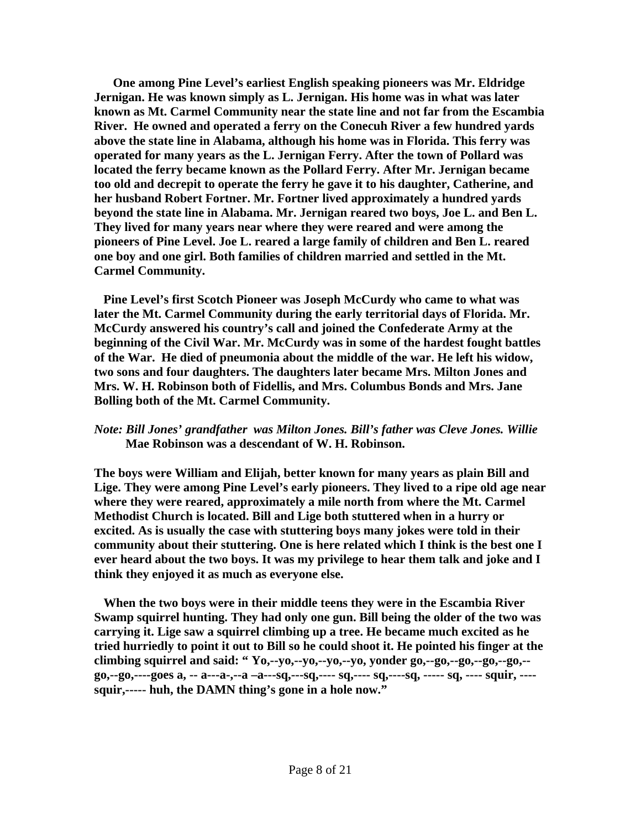**One among Pine Level's earliest English speaking pioneers was Mr. Eldridge Jernigan. He was known simply as L. Jernigan. His home was in what was later known as Mt. Carmel Community near the state line and not far from the Escambia River. He owned and operated a ferry on the Conecuh River a few hundred yards above the state line in Alabama, although his home was in Florida. This ferry was operated for many years as the L. Jernigan Ferry. After the town of Pollard was located the ferry became known as the Pollard Ferry. After Mr. Jernigan became too old and decrepit to operate the ferry he gave it to his daughter, Catherine, and her husband Robert Fortner. Mr. Fortner lived approximately a hundred yards beyond the state line in Alabama. Mr. Jernigan reared two boys, Joe L. and Ben L. They lived for many years near where they were reared and were among the pioneers of Pine Level. Joe L. reared a large family of children and Ben L. reared one boy and one girl. Both families of children married and settled in the Mt. Carmel Community.** 

 **Pine Level's first Scotch Pioneer was Joseph McCurdy who came to what was later the Mt. Carmel Community during the early territorial days of Florida. Mr. McCurdy answered his country's call and joined the Confederate Army at the beginning of the Civil War. Mr. McCurdy was in some of the hardest fought battles of the War. He died of pneumonia about the middle of the war. He left his widow, two sons and four daughters. The daughters later became Mrs. Milton Jones and Mrs. W. H. Robinson both of Fidellis, and Mrs. Columbus Bonds and Mrs. Jane Bolling both of the Mt. Carmel Community.** 

### *Note: Bill Jones' grandfather was Milton Jones. Bill's father was Cleve Jones. Willie*   **Mae Robinson was a descendant of W. H. Robinson.**

**The boys were William and Elijah, better known for many years as plain Bill and Lige. They were among Pine Level's early pioneers. They lived to a ripe old age near where they were reared, approximately a mile north from where the Mt. Carmel Methodist Church is located. Bill and Lige both stuttered when in a hurry or excited. As is usually the case with stuttering boys many jokes were told in their community about their stuttering. One is here related which I think is the best one I ever heard about the two boys. It was my privilege to hear them talk and joke and I think they enjoyed it as much as everyone else.** 

 **When the two boys were in their middle teens they were in the Escambia River Swamp squirrel hunting. They had only one gun. Bill being the older of the two was carrying it. Lige saw a squirrel climbing up a tree. He became much excited as he tried hurriedly to point it out to Bill so he could shoot it. He pointed his finger at the climbing squirrel and said: " Yo,--yo,--yo,--yo,--yo, yonder go,--go,--go,--go,--go,- go,--go,----goes a, -- a---a-,--a –a---sq,---sq,---- sq,---- sq,----sq, ----- sq, ---- squir, --- squir,----- huh, the DAMN thing's gone in a hole now."**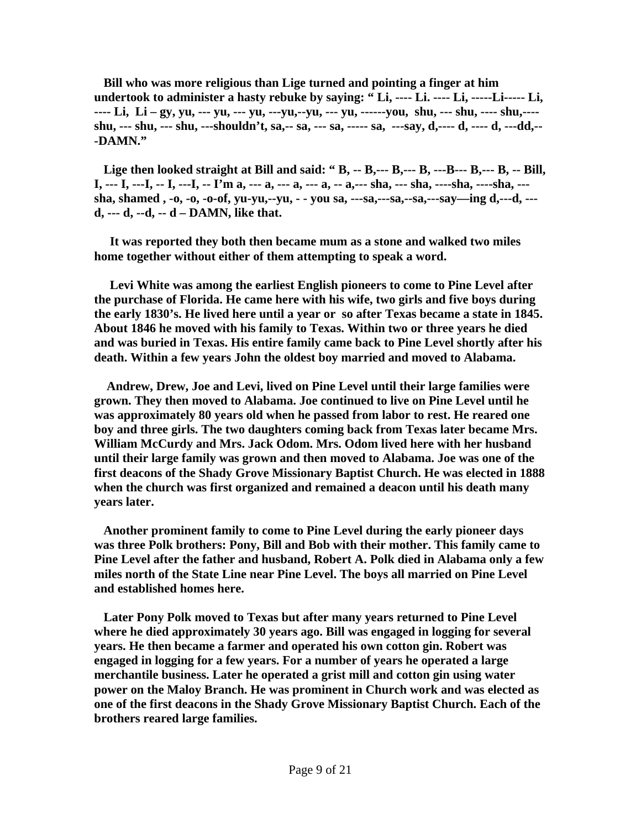**Bill who was more religious than Lige turned and pointing a finger at him undertook to administer a hasty rebuke by saying: " Li, ---- Li. ---- Li, -----Li----- Li, ---- Li, Li – gy, yu, --- yu, --- yu, ---yu,--yu, --- yu, ------you, shu, --- shu, ---- shu,--- shu, --- shu, --- shu, ---shouldn't, sa,-- sa, --- sa, ----- sa, ---say, d,---- d, ---- d, ---dd,-- -DAMN."** 

 **Lige then looked straight at Bill and said: " B, -- B,--- B,--- B, ---B--- B,--- B, -- Bill, I, --- I, ---I, -- I, ---I, -- I'm a, --- a, --- a, --- a, -- a,--- sha, --- sha, ----sha, ----sha, -- sha, shamed , -o, -o, -o-of, yu-yu,--yu, - - you sa, ---sa,---sa,--sa,---say—ing d,---d, -- d, --- d, --d, -- d – DAMN, like that.** 

 **It was reported they both then became mum as a stone and walked two miles home together without either of them attempting to speak a word.** 

 **Levi White was among the earliest English pioneers to come to Pine Level after the purchase of Florida. He came here with his wife, two girls and five boys during the early 1830's. He lived here until a year or so after Texas became a state in 1845. About 1846 he moved with his family to Texas. Within two or three years he died and was buried in Texas. His entire family came back to Pine Level shortly after his death. Within a few years John the oldest boy married and moved to Alabama.** 

 **Andrew, Drew, Joe and Levi, lived on Pine Level until their large families were grown. They then moved to Alabama. Joe continued to live on Pine Level until he was approximately 80 years old when he passed from labor to rest. He reared one boy and three girls. The two daughters coming back from Texas later became Mrs. William McCurdy and Mrs. Jack Odom. Mrs. Odom lived here with her husband until their large family was grown and then moved to Alabama. Joe was one of the first deacons of the Shady Grove Missionary Baptist Church. He was elected in 1888 when the church was first organized and remained a deacon until his death many years later.** 

 **Another prominent family to come to Pine Level during the early pioneer days was three Polk brothers: Pony, Bill and Bob with their mother. This family came to Pine Level after the father and husband, Robert A. Polk died in Alabama only a few miles north of the State Line near Pine Level. The boys all married on Pine Level and established homes here.** 

 **Later Pony Polk moved to Texas but after many years returned to Pine Level where he died approximately 30 years ago. Bill was engaged in logging for several years. He then became a farmer and operated his own cotton gin. Robert was engaged in logging for a few years. For a number of years he operated a large merchantile business. Later he operated a grist mill and cotton gin using water power on the Maloy Branch. He was prominent in Church work and was elected as one of the first deacons in the Shady Grove Missionary Baptist Church. Each of the brothers reared large families.**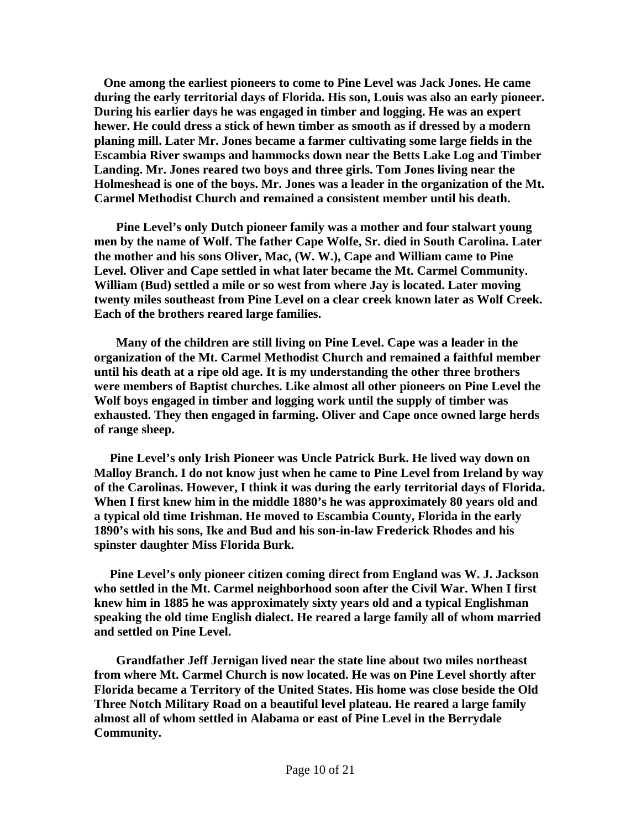**One among the earliest pioneers to come to Pine Level was Jack Jones. He came during the early territorial days of Florida. His son, Louis was also an early pioneer. During his earlier days he was engaged in timber and logging. He was an expert hewer. He could dress a stick of hewn timber as smooth as if dressed by a modern planing mill. Later Mr. Jones became a farmer cultivating some large fields in the Escambia River swamps and hammocks down near the Betts Lake Log and Timber Landing. Mr. Jones reared two boys and three girls. Tom Jones living near the Holmeshead is one of the boys. Mr. Jones was a leader in the organization of the Mt. Carmel Methodist Church and remained a consistent member until his death.** 

 **Pine Level's only Dutch pioneer family was a mother and four stalwart young men by the name of Wolf. The father Cape Wolfe, Sr. died in South Carolina. Later the mother and his sons Oliver, Mac, (W. W.), Cape and William came to Pine Level. Oliver and Cape settled in what later became the Mt. Carmel Community. William (Bud) settled a mile or so west from where Jay is located. Later moving twenty miles southeast from Pine Level on a clear creek known later as Wolf Creek. Each of the brothers reared large families.** 

 **Many of the children are still living on Pine Level. Cape was a leader in the organization of the Mt. Carmel Methodist Church and remained a faithful member until his death at a ripe old age. It is my understanding the other three brothers were members of Baptist churches. Like almost all other pioneers on Pine Level the Wolf boys engaged in timber and logging work until the supply of timber was exhausted. They then engaged in farming. Oliver and Cape once owned large herds of range sheep.** 

 **Pine Level's only Irish Pioneer was Uncle Patrick Burk. He lived way down on Malloy Branch. I do not know just when he came to Pine Level from Ireland by way of the Carolinas. However, I think it was during the early territorial days of Florida. When I first knew him in the middle 1880's he was approximately 80 years old and a typical old time Irishman. He moved to Escambia County, Florida in the early 1890's with his sons, Ike and Bud and his son-in-law Frederick Rhodes and his spinster daughter Miss Florida Burk.** 

 **Pine Level's only pioneer citizen coming direct from England was W. J. Jackson who settled in the Mt. Carmel neighborhood soon after the Civil War. When I first knew him in 1885 he was approximately sixty years old and a typical Englishman speaking the old time English dialect. He reared a large family all of whom married and settled on Pine Level.** 

 **Grandfather Jeff Jernigan lived near the state line about two miles northeast from where Mt. Carmel Church is now located. He was on Pine Level shortly after Florida became a Territory of the United States. His home was close beside the Old Three Notch Military Road on a beautiful level plateau. He reared a large family almost all of whom settled in Alabama or east of Pine Level in the Berrydale Community.**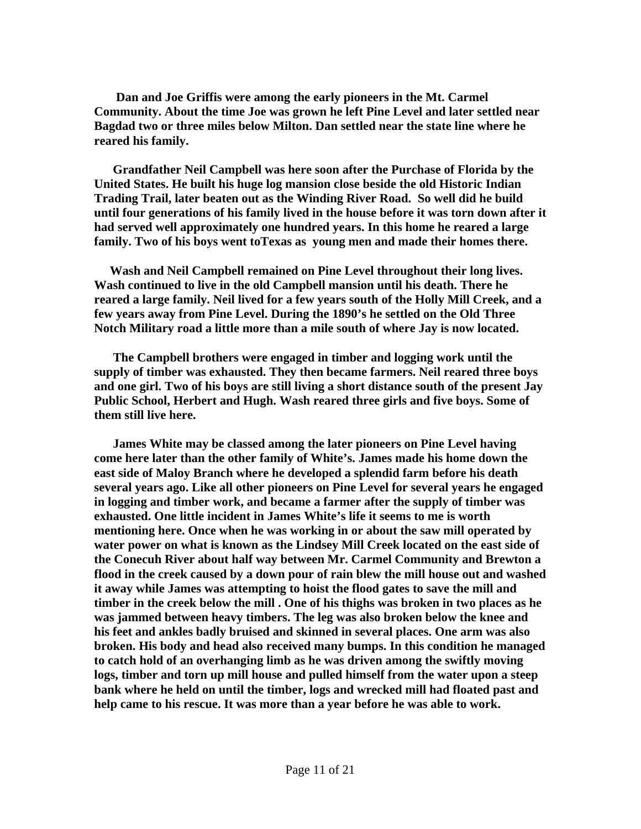**Dan and Joe Griffis were among the early pioneers in the Mt. Carmel Community. About the time Joe was grown he left Pine Level and later settled near Bagdad two or three miles below Milton. Dan settled near the state line where he reared his family.** 

 **Grandfather Neil Campbell was here soon after the Purchase of Florida by the United States. He built his huge log mansion close beside the old Historic Indian Trading Trail, later beaten out as the Winding River Road. So well did he build until four generations of his family lived in the house before it was torn down after it had served well approximately one hundred years. In this home he reared a large family. Two of his boys went toTexas as young men and made their homes there.** 

 **Wash and Neil Campbell remained on Pine Level throughout their long lives. Wash continued to live in the old Campbell mansion until his death. There he reared a large family. Neil lived for a few years south of the Holly Mill Creek, and a few years away from Pine Level. During the 1890's he settled on the Old Three Notch Military road a little more than a mile south of where Jay is now located.** 

 **The Campbell brothers were engaged in timber and logging work until the supply of timber was exhausted. They then became farmers. Neil reared three boys and one girl. Two of his boys are still living a short distance south of the present Jay Public School, Herbert and Hugh. Wash reared three girls and five boys. Some of them still live here.** 

 **James White may be classed among the later pioneers on Pine Level having come here later than the other family of White's. James made his home down the east side of Maloy Branch where he developed a splendid farm before his death several years ago. Like all other pioneers on Pine Level for several years he engaged in logging and timber work, and became a farmer after the supply of timber was exhausted. One little incident in James White's life it seems to me is worth mentioning here. Once when he was working in or about the saw mill operated by water power on what is known as the Lindsey Mill Creek located on the east side of the Conecuh River about half way between Mr. Carmel Community and Brewton a flood in the creek caused by a down pour of rain blew the mill house out and washed it away while James was attempting to hoist the flood gates to save the mill and timber in the creek below the mill . One of his thighs was broken in two places as he was jammed between heavy timbers. The leg was also broken below the knee and his feet and ankles badly bruised and skinned in several places. One arm was also broken. His body and head also received many bumps. In this condition he managed to catch hold of an overhanging limb as he was driven among the swiftly moving logs, timber and torn up mill house and pulled himself from the water upon a steep bank where he held on until the timber, logs and wrecked mill had floated past and help came to his rescue. It was more than a year before he was able to work.**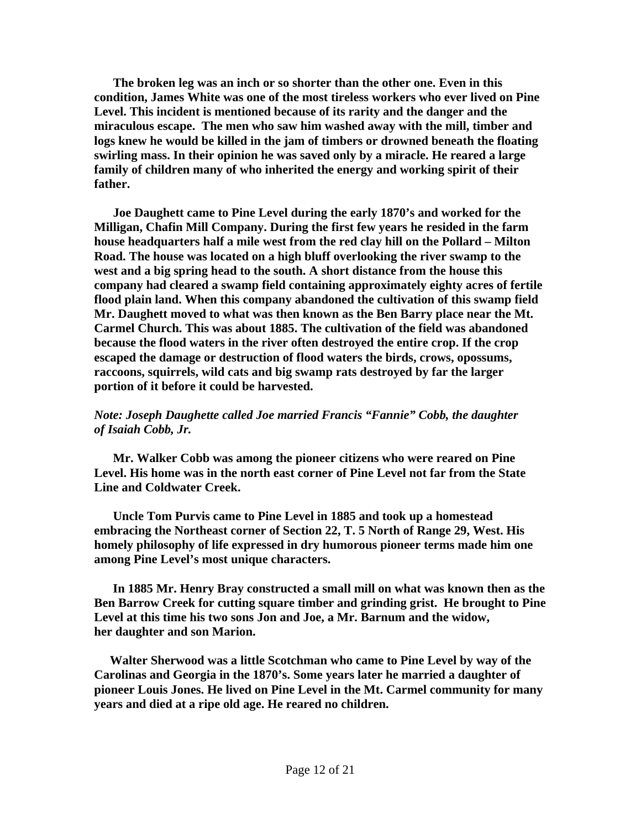**The broken leg was an inch or so shorter than the other one. Even in this condition, James White was one of the most tireless workers who ever lived on Pine Level. This incident is mentioned because of its rarity and the danger and the miraculous escape. The men who saw him washed away with the mill, timber and logs knew he would be killed in the jam of timbers or drowned beneath the floating swirling mass. In their opinion he was saved only by a miracle. He reared a large family of children many of who inherited the energy and working spirit of their father.** 

 **Joe Daughett came to Pine Level during the early 1870's and worked for the Milligan, Chafin Mill Company. During the first few years he resided in the farm house headquarters half a mile west from the red clay hill on the Pollard – Milton Road. The house was located on a high bluff overlooking the river swamp to the west and a big spring head to the south. A short distance from the house this company had cleared a swamp field containing approximately eighty acres of fertile flood plain land. When this company abandoned the cultivation of this swamp field Mr. Daughett moved to what was then known as the Ben Barry place near the Mt. Carmel Church. This was about 1885. The cultivation of the field was abandoned because the flood waters in the river often destroyed the entire crop. If the crop escaped the damage or destruction of flood waters the birds, crows, opossums, raccoons, squirrels, wild cats and big swamp rats destroyed by far the larger portion of it before it could be harvested.** 

# *Note: Joseph Daughette called Joe married Francis "Fannie" Cobb, the daughter of Isaiah Cobb, Jr.*

 **Mr. Walker Cobb was among the pioneer citizens who were reared on Pine Level. His home was in the north east corner of Pine Level not far from the State Line and Coldwater Creek.** 

 **Uncle Tom Purvis came to Pine Level in 1885 and took up a homestead embracing the Northeast corner of Section 22, T. 5 North of Range 29, West. His homely philosophy of life expressed in dry humorous pioneer terms made him one among Pine Level's most unique characters.** 

 **In 1885 Mr. Henry Bray constructed a small mill on what was known then as the Ben Barrow Creek for cutting square timber and grinding grist. He brought to Pine Level at this time his two sons Jon and Joe, a Mr. Barnum and the widow, her daughter and son Marion.** 

 **Walter Sherwood was a little Scotchman who came to Pine Level by way of the Carolinas and Georgia in the 1870's. Some years later he married a daughter of pioneer Louis Jones. He lived on Pine Level in the Mt. Carmel community for many years and died at a ripe old age. He reared no children.**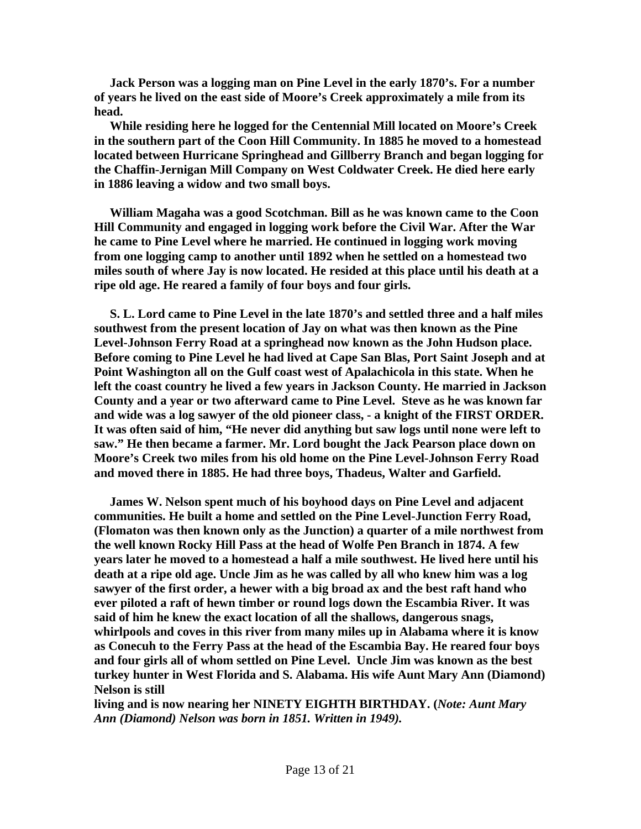**Jack Person was a logging man on Pine Level in the early 1870's. For a number of years he lived on the east side of Moore's Creek approximately a mile from its head.** 

 **While residing here he logged for the Centennial Mill located on Moore's Creek in the southern part of the Coon Hill Community. In 1885 he moved to a homestead located between Hurricane Springhead and Gillberry Branch and began logging for the Chaffin-Jernigan Mill Company on West Coldwater Creek. He died here early in 1886 leaving a widow and two small boys.** 

 **William Magaha was a good Scotchman. Bill as he was known came to the Coon Hill Community and engaged in logging work before the Civil War. After the War he came to Pine Level where he married. He continued in logging work moving from one logging camp to another until 1892 when he settled on a homestead two miles south of where Jay is now located. He resided at this place until his death at a ripe old age. He reared a family of four boys and four girls.** 

 **S. L. Lord came to Pine Level in the late 1870's and settled three and a half miles southwest from the present location of Jay on what was then known as the Pine Level-Johnson Ferry Road at a springhead now known as the John Hudson place. Before coming to Pine Level he had lived at Cape San Blas, Port Saint Joseph and at Point Washington all on the Gulf coast west of Apalachicola in this state. When he left the coast country he lived a few years in Jackson County. He married in Jackson County and a year or two afterward came to Pine Level. Steve as he was known far and wide was a log sawyer of the old pioneer class, - a knight of the FIRST ORDER. It was often said of him, "He never did anything but saw logs until none were left to saw." He then became a farmer. Mr. Lord bought the Jack Pearson place down on Moore's Creek two miles from his old home on the Pine Level-Johnson Ferry Road and moved there in 1885. He had three boys, Thadeus, Walter and Garfield.** 

 **James W. Nelson spent much of his boyhood days on Pine Level and adjacent communities. He built a home and settled on the Pine Level-Junction Ferry Road, (Flomaton was then known only as the Junction) a quarter of a mile northwest from the well known Rocky Hill Pass at the head of Wolfe Pen Branch in 1874. A few years later he moved to a homestead a half a mile southwest. He lived here until his death at a ripe old age. Uncle Jim as he was called by all who knew him was a log sawyer of the first order, a hewer with a big broad ax and the best raft hand who ever piloted a raft of hewn timber or round logs down the Escambia River. It was said of him he knew the exact location of all the shallows, dangerous snags, whirlpools and coves in this river from many miles up in Alabama where it is know as Conecuh to the Ferry Pass at the head of the Escambia Bay. He reared four boys and four girls all of whom settled on Pine Level. Uncle Jim was known as the best turkey hunter in West Florida and S. Alabama. His wife Aunt Mary Ann (Diamond) Nelson is still** 

**living and is now nearing her NINETY EIGHTH BIRTHDAY. (***Note: Aunt Mary Ann (Diamond) Nelson was born in 1851. Written in 1949).*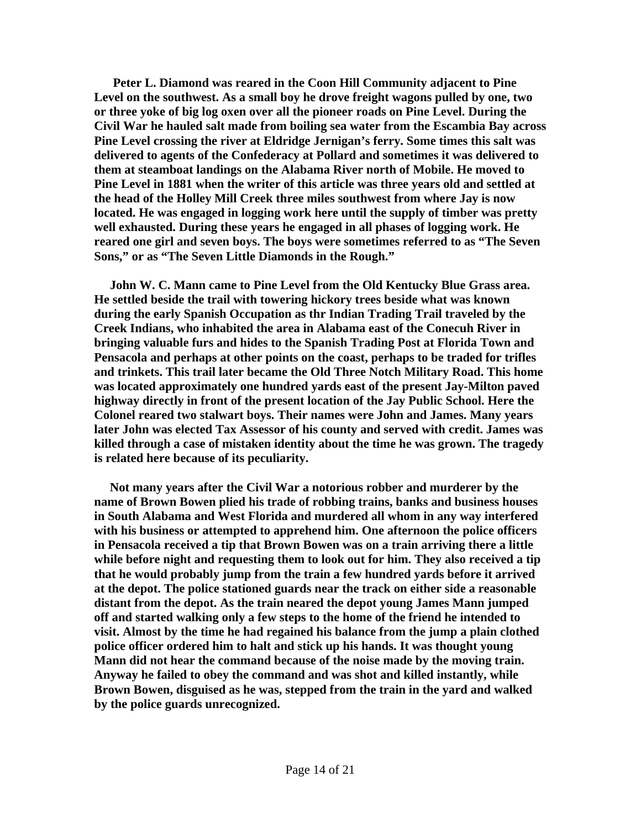**Peter L. Diamond was reared in the Coon Hill Community adjacent to Pine Level on the southwest. As a small boy he drove freight wagons pulled by one, two or three yoke of big log oxen over all the pioneer roads on Pine Level. During the Civil War he hauled salt made from boiling sea water from the Escambia Bay across Pine Level crossing the river at Eldridge Jernigan's ferry. Some times this salt was delivered to agents of the Confederacy at Pollard and sometimes it was delivered to them at steamboat landings on the Alabama River north of Mobile. He moved to Pine Level in 1881 when the writer of this article was three years old and settled at the head of the Holley Mill Creek three miles southwest from where Jay is now located. He was engaged in logging work here until the supply of timber was pretty well exhausted. During these years he engaged in all phases of logging work. He reared one girl and seven boys. The boys were sometimes referred to as "The Seven Sons," or as "The Seven Little Diamonds in the Rough."** 

 **John W. C. Mann came to Pine Level from the Old Kentucky Blue Grass area. He settled beside the trail with towering hickory trees beside what was known during the early Spanish Occupation as thr Indian Trading Trail traveled by the Creek Indians, who inhabited the area in Alabama east of the Conecuh River in bringing valuable furs and hides to the Spanish Trading Post at Florida Town and Pensacola and perhaps at other points on the coast, perhaps to be traded for trifles and trinkets. This trail later became the Old Three Notch Military Road. This home was located approximately one hundred yards east of the present Jay-Milton paved highway directly in front of the present location of the Jay Public School. Here the Colonel reared two stalwart boys. Their names were John and James. Many years later John was elected Tax Assessor of his county and served with credit. James was killed through a case of mistaken identity about the time he was grown. The tragedy is related here because of its peculiarity.** 

 **Not many years after the Civil War a notorious robber and murderer by the name of Brown Bowen plied his trade of robbing trains, banks and business houses in South Alabama and West Florida and murdered all whom in any way interfered with his business or attempted to apprehend him. One afternoon the police officers in Pensacola received a tip that Brown Bowen was on a train arriving there a little while before night and requesting them to look out for him. They also received a tip that he would probably jump from the train a few hundred yards before it arrived at the depot. The police stationed guards near the track on either side a reasonable distant from the depot. As the train neared the depot young James Mann jumped off and started walking only a few steps to the home of the friend he intended to visit. Almost by the time he had regained his balance from the jump a plain clothed police officer ordered him to halt and stick up his hands. It was thought young Mann did not hear the command because of the noise made by the moving train. Anyway he failed to obey the command and was shot and killed instantly, while Brown Bowen, disguised as he was, stepped from the train in the yard and walked by the police guards unrecognized.**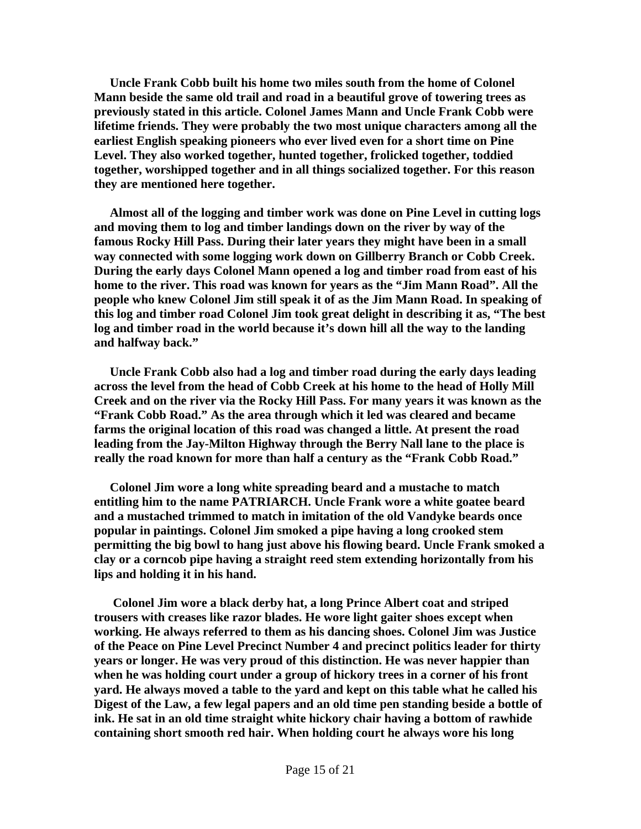**Uncle Frank Cobb built his home two miles south from the home of Colonel Mann beside the same old trail and road in a beautiful grove of towering trees as previously stated in this article. Colonel James Mann and Uncle Frank Cobb were lifetime friends. They were probably the two most unique characters among all the earliest English speaking pioneers who ever lived even for a short time on Pine Level. They also worked together, hunted together, frolicked together, toddied together, worshipped together and in all things socialized together. For this reason they are mentioned here together.** 

 **Almost all of the logging and timber work was done on Pine Level in cutting logs and moving them to log and timber landings down on the river by way of the famous Rocky Hill Pass. During their later years they might have been in a small way connected with some logging work down on Gillberry Branch or Cobb Creek. During the early days Colonel Mann opened a log and timber road from east of his home to the river. This road was known for years as the "Jim Mann Road". All the people who knew Colonel Jim still speak it of as the Jim Mann Road. In speaking of this log and timber road Colonel Jim took great delight in describing it as, "The best log and timber road in the world because it's down hill all the way to the landing and halfway back."** 

 **Uncle Frank Cobb also had a log and timber road during the early days leading across the level from the head of Cobb Creek at his home to the head of Holly Mill Creek and on the river via the Rocky Hill Pass. For many years it was known as the "Frank Cobb Road." As the area through which it led was cleared and became farms the original location of this road was changed a little. At present the road leading from the Jay-Milton Highway through the Berry Nall lane to the place is really the road known for more than half a century as the "Frank Cobb Road."** 

 **Colonel Jim wore a long white spreading beard and a mustache to match entitling him to the name PATRIARCH. Uncle Frank wore a white goatee beard and a mustached trimmed to match in imitation of the old Vandyke beards once popular in paintings. Colonel Jim smoked a pipe having a long crooked stem permitting the big bowl to hang just above his flowing beard. Uncle Frank smoked a clay or a corncob pipe having a straight reed stem extending horizontally from his lips and holding it in his hand.** 

 **Colonel Jim wore a black derby hat, a long Prince Albert coat and striped trousers with creases like razor blades. He wore light gaiter shoes except when working. He always referred to them as his dancing shoes. Colonel Jim was Justice of the Peace on Pine Level Precinct Number 4 and precinct politics leader for thirty years or longer. He was very proud of this distinction. He was never happier than when he was holding court under a group of hickory trees in a corner of his front yard. He always moved a table to the yard and kept on this table what he called his Digest of the Law, a few legal papers and an old time pen standing beside a bottle of ink. He sat in an old time straight white hickory chair having a bottom of rawhide containing short smooth red hair. When holding court he always wore his long**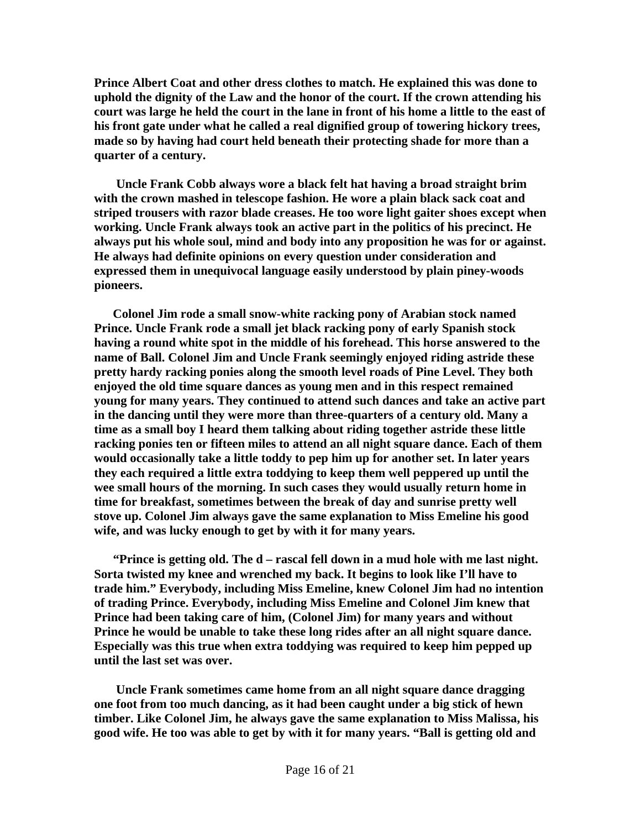**Prince Albert Coat and other dress clothes to match. He explained this was done to uphold the dignity of the Law and the honor of the court. If the crown attending his court was large he held the court in the lane in front of his home a little to the east of his front gate under what he called a real dignified group of towering hickory trees, made so by having had court held beneath their protecting shade for more than a quarter of a century.** 

 **Uncle Frank Cobb always wore a black felt hat having a broad straight brim with the crown mashed in telescope fashion. He wore a plain black sack coat and striped trousers with razor blade creases. He too wore light gaiter shoes except when working. Uncle Frank always took an active part in the politics of his precinct. He always put his whole soul, mind and body into any proposition he was for or against. He always had definite opinions on every question under consideration and expressed them in unequivocal language easily understood by plain piney-woods pioneers.** 

 **Colonel Jim rode a small snow-white racking pony of Arabian stock named Prince. Uncle Frank rode a small jet black racking pony of early Spanish stock having a round white spot in the middle of his forehead. This horse answered to the name of Ball. Colonel Jim and Uncle Frank seemingly enjoyed riding astride these pretty hardy racking ponies along the smooth level roads of Pine Level. They both enjoyed the old time square dances as young men and in this respect remained young for many years. They continued to attend such dances and take an active part in the dancing until they were more than three-quarters of a century old. Many a time as a small boy I heard them talking about riding together astride these little racking ponies ten or fifteen miles to attend an all night square dance. Each of them would occasionally take a little toddy to pep him up for another set. In later years they each required a little extra toddying to keep them well peppered up until the wee small hours of the morning. In such cases they would usually return home in time for breakfast, sometimes between the break of day and sunrise pretty well stove up. Colonel Jim always gave the same explanation to Miss Emeline his good wife, and was lucky enough to get by with it for many years.** 

 **"Prince is getting old. The d – rascal fell down in a mud hole with me last night. Sorta twisted my knee and wrenched my back. It begins to look like I'll have to trade him." Everybody, including Miss Emeline, knew Colonel Jim had no intention of trading Prince. Everybody, including Miss Emeline and Colonel Jim knew that Prince had been taking care of him, (Colonel Jim) for many years and without Prince he would be unable to take these long rides after an all night square dance. Especially was this true when extra toddying was required to keep him pepped up until the last set was over.** 

 **Uncle Frank sometimes came home from an all night square dance dragging one foot from too much dancing, as it had been caught under a big stick of hewn timber. Like Colonel Jim, he always gave the same explanation to Miss Malissa, his good wife. He too was able to get by with it for many years. "Ball is getting old and**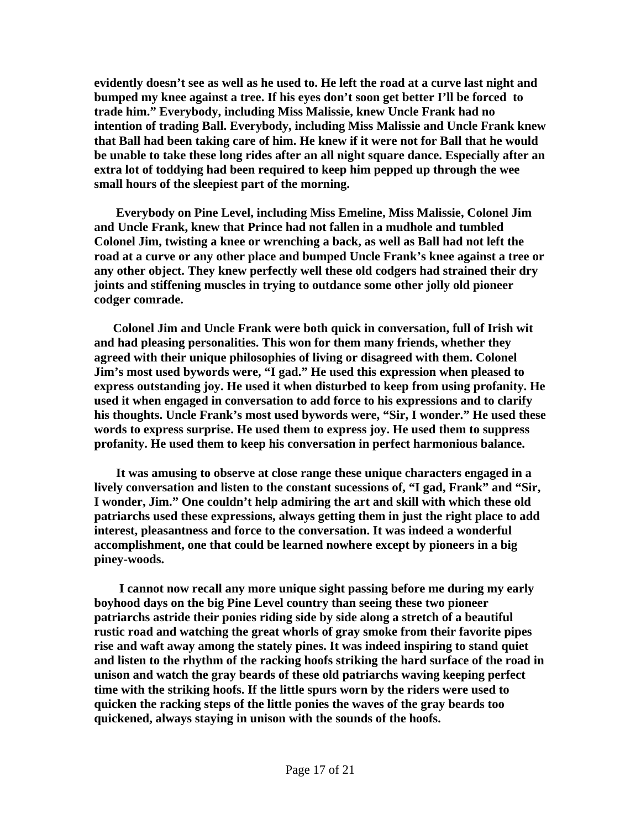**evidently doesn't see as well as he used to. He left the road at a curve last night and bumped my knee against a tree. If his eyes don't soon get better I'll be forced to trade him." Everybody, including Miss Malissie, knew Uncle Frank had no intention of trading Ball. Everybody, including Miss Malissie and Uncle Frank knew that Ball had been taking care of him. He knew if it were not for Ball that he would be unable to take these long rides after an all night square dance. Especially after an extra lot of toddying had been required to keep him pepped up through the wee small hours of the sleepiest part of the morning.** 

 **Everybody on Pine Level, including Miss Emeline, Miss Malissie, Colonel Jim and Uncle Frank, knew that Prince had not fallen in a mudhole and tumbled Colonel Jim, twisting a knee or wrenching a back, as well as Ball had not left the road at a curve or any other place and bumped Uncle Frank's knee against a tree or any other object. They knew perfectly well these old codgers had strained their dry joints and stiffening muscles in trying to outdance some other jolly old pioneer codger comrade.** 

 **Colonel Jim and Uncle Frank were both quick in conversation, full of Irish wit and had pleasing personalities. This won for them many friends, whether they agreed with their unique philosophies of living or disagreed with them. Colonel Jim's most used bywords were, "I gad." He used this expression when pleased to express outstanding joy. He used it when disturbed to keep from using profanity. He used it when engaged in conversation to add force to his expressions and to clarify his thoughts. Uncle Frank's most used bywords were, "Sir, I wonder." He used these words to express surprise. He used them to express joy. He used them to suppress profanity. He used them to keep his conversation in perfect harmonious balance.** 

 **It was amusing to observe at close range these unique characters engaged in a lively conversation and listen to the constant sucessions of, "I gad, Frank" and "Sir, I wonder, Jim." One couldn't help admiring the art and skill with which these old patriarchs used these expressions, always getting them in just the right place to add interest, pleasantness and force to the conversation. It was indeed a wonderful accomplishment, one that could be learned nowhere except by pioneers in a big piney-woods.** 

 **I cannot now recall any more unique sight passing before me during my early boyhood days on the big Pine Level country than seeing these two pioneer patriarchs astride their ponies riding side by side along a stretch of a beautiful rustic road and watching the great whorls of gray smoke from their favorite pipes rise and waft away among the stately pines. It was indeed inspiring to stand quiet and listen to the rhythm of the racking hoofs striking the hard surface of the road in unison and watch the gray beards of these old patriarchs waving keeping perfect time with the striking hoofs. If the little spurs worn by the riders were used to quicken the racking steps of the little ponies the waves of the gray beards too quickened, always staying in unison with the sounds of the hoofs.**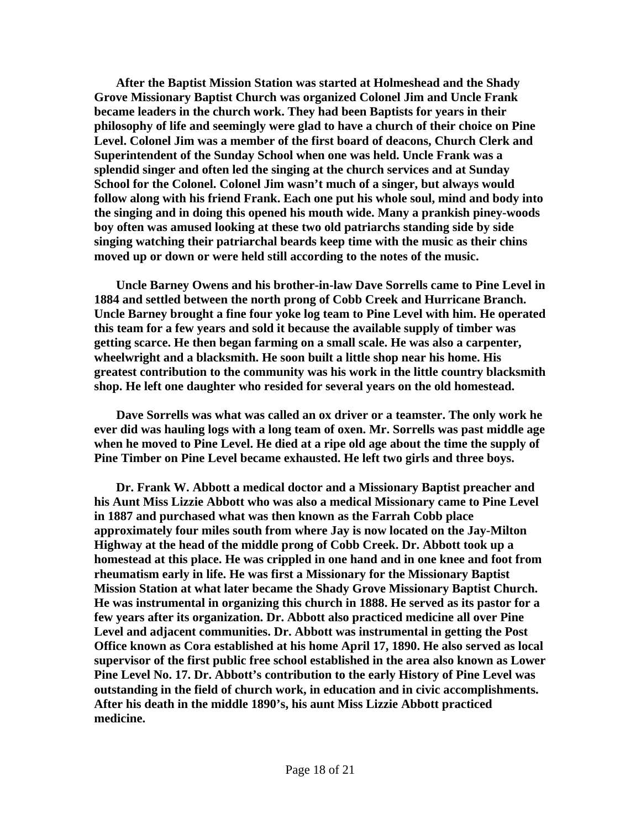**After the Baptist Mission Station was started at Holmeshead and the Shady Grove Missionary Baptist Church was organized Colonel Jim and Uncle Frank became leaders in the church work. They had been Baptists for years in their philosophy of life and seemingly were glad to have a church of their choice on Pine Level. Colonel Jim was a member of the first board of deacons, Church Clerk and Superintendent of the Sunday School when one was held. Uncle Frank was a splendid singer and often led the singing at the church services and at Sunday School for the Colonel. Colonel Jim wasn't much of a singer, but always would follow along with his friend Frank. Each one put his whole soul, mind and body into the singing and in doing this opened his mouth wide. Many a prankish piney-woods boy often was amused looking at these two old patriarchs standing side by side singing watching their patriarchal beards keep time with the music as their chins moved up or down or were held still according to the notes of the music.** 

 **Uncle Barney Owens and his brother-in-law Dave Sorrells came to Pine Level in 1884 and settled between the north prong of Cobb Creek and Hurricane Branch. Uncle Barney brought a fine four yoke log team to Pine Level with him. He operated this team for a few years and sold it because the available supply of timber was getting scarce. He then began farming on a small scale. He was also a carpenter, wheelwright and a blacksmith. He soon built a little shop near his home. His greatest contribution to the community was his work in the little country blacksmith shop. He left one daughter who resided for several years on the old homestead.** 

 **Dave Sorrells was what was called an ox driver or a teamster. The only work he ever did was hauling logs with a long team of oxen. Mr. Sorrells was past middle age when he moved to Pine Level. He died at a ripe old age about the time the supply of Pine Timber on Pine Level became exhausted. He left two girls and three boys.** 

 **Dr. Frank W. Abbott a medical doctor and a Missionary Baptist preacher and his Aunt Miss Lizzie Abbott who was also a medical Missionary came to Pine Level in 1887 and purchased what was then known as the Farrah Cobb place approximately four miles south from where Jay is now located on the Jay-Milton Highway at the head of the middle prong of Cobb Creek. Dr. Abbott took up a homestead at this place. He was crippled in one hand and in one knee and foot from rheumatism early in life. He was first a Missionary for the Missionary Baptist Mission Station at what later became the Shady Grove Missionary Baptist Church. He was instrumental in organizing this church in 1888. He served as its pastor for a few years after its organization. Dr. Abbott also practiced medicine all over Pine Level and adjacent communities. Dr. Abbott was instrumental in getting the Post Office known as Cora established at his home April 17, 1890. He also served as local supervisor of the first public free school established in the area also known as Lower Pine Level No. 17. Dr. Abbott's contribution to the early History of Pine Level was outstanding in the field of church work, in education and in civic accomplishments. After his death in the middle 1890's, his aunt Miss Lizzie Abbott practiced medicine.**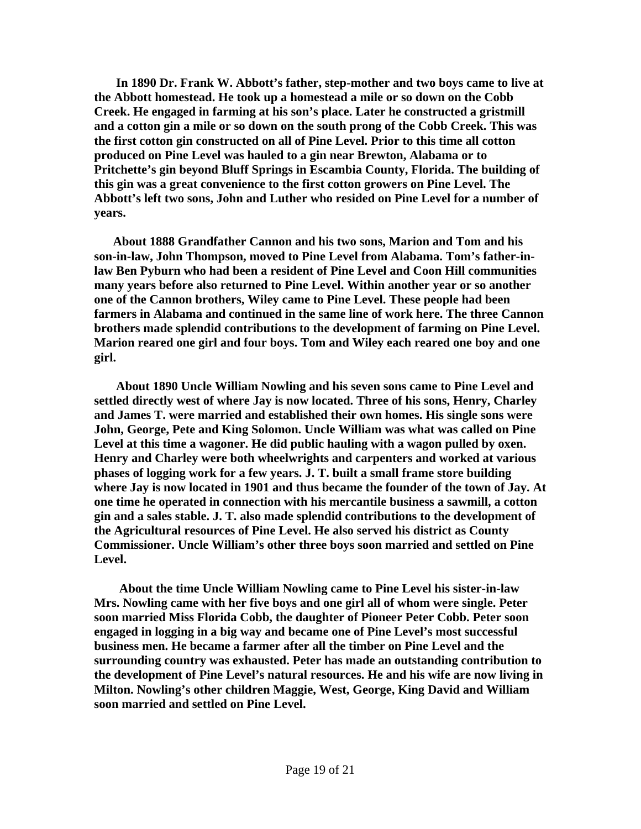**In 1890 Dr. Frank W. Abbott's father, step-mother and two boys came to live at the Abbott homestead. He took up a homestead a mile or so down on the Cobb Creek. He engaged in farming at his son's place. Later he constructed a gristmill and a cotton gin a mile or so down on the south prong of the Cobb Creek. This was the first cotton gin constructed on all of Pine Level. Prior to this time all cotton produced on Pine Level was hauled to a gin near Brewton, Alabama or to Pritchette's gin beyond Bluff Springs in Escambia County, Florida. The building of this gin was a great convenience to the first cotton growers on Pine Level. The Abbott's left two sons, John and Luther who resided on Pine Level for a number of years.** 

 **About 1888 Grandfather Cannon and his two sons, Marion and Tom and his son-in-law, John Thompson, moved to Pine Level from Alabama. Tom's father-inlaw Ben Pyburn who had been a resident of Pine Level and Coon Hill communities many years before also returned to Pine Level. Within another year or so another one of the Cannon brothers, Wiley came to Pine Level. These people had been farmers in Alabama and continued in the same line of work here. The three Cannon brothers made splendid contributions to the development of farming on Pine Level. Marion reared one girl and four boys. Tom and Wiley each reared one boy and one girl.** 

 **About 1890 Uncle William Nowling and his seven sons came to Pine Level and settled directly west of where Jay is now located. Three of his sons, Henry, Charley and James T. were married and established their own homes. His single sons were John, George, Pete and King Solomon. Uncle William was what was called on Pine Level at this time a wagoner. He did public hauling with a wagon pulled by oxen. Henry and Charley were both wheelwrights and carpenters and worked at various phases of logging work for a few years. J. T. built a small frame store building where Jay is now located in 1901 and thus became the founder of the town of Jay. At one time he operated in connection with his mercantile business a sawmill, a cotton gin and a sales stable. J. T. also made splendid contributions to the development of the Agricultural resources of Pine Level. He also served his district as County Commissioner. Uncle William's other three boys soon married and settled on Pine Level.** 

 **About the time Uncle William Nowling came to Pine Level his sister-in-law Mrs. Nowling came with her five boys and one girl all of whom were single. Peter soon married Miss Florida Cobb, the daughter of Pioneer Peter Cobb. Peter soon engaged in logging in a big way and became one of Pine Level's most successful business men. He became a farmer after all the timber on Pine Level and the surrounding country was exhausted. Peter has made an outstanding contribution to the development of Pine Level's natural resources. He and his wife are now living in Milton. Nowling's other children Maggie, West, George, King David and William soon married and settled on Pine Level.**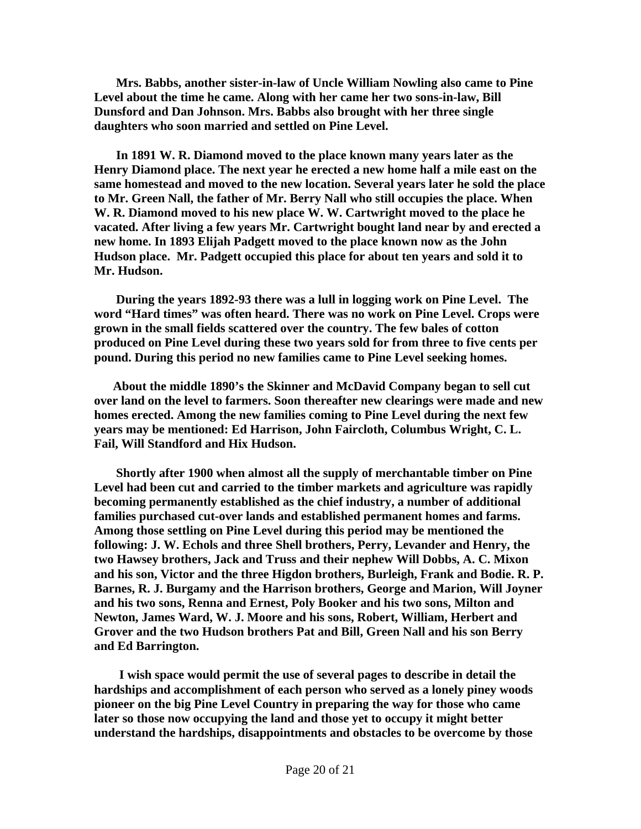**Mrs. Babbs, another sister-in-law of Uncle William Nowling also came to Pine Level about the time he came. Along with her came her two sons-in-law, Bill Dunsford and Dan Johnson. Mrs. Babbs also brought with her three single daughters who soon married and settled on Pine Level.** 

 **In 1891 W. R. Diamond moved to the place known many years later as the Henry Diamond place. The next year he erected a new home half a mile east on the same homestead and moved to the new location. Several years later he sold the place to Mr. Green Nall, the father of Mr. Berry Nall who still occupies the place. When W. R. Diamond moved to his new place W. W. Cartwright moved to the place he vacated. After living a few years Mr. Cartwright bought land near by and erected a new home. In 1893 Elijah Padgett moved to the place known now as the John Hudson place. Mr. Padgett occupied this place for about ten years and sold it to Mr. Hudson.** 

 **During the years 1892-93 there was a lull in logging work on Pine Level. The word "Hard times" was often heard. There was no work on Pine Level. Crops were grown in the small fields scattered over the country. The few bales of cotton produced on Pine Level during these two years sold for from three to five cents per pound. During this period no new families came to Pine Level seeking homes.** 

 **About the middle 1890's the Skinner and McDavid Company began to sell cut over land on the level to farmers. Soon thereafter new clearings were made and new homes erected. Among the new families coming to Pine Level during the next few years may be mentioned: Ed Harrison, John Faircloth, Columbus Wright, C. L. Fail, Will Standford and Hix Hudson.** 

 **Shortly after 1900 when almost all the supply of merchantable timber on Pine Level had been cut and carried to the timber markets and agriculture was rapidly becoming permanently established as the chief industry, a number of additional families purchased cut-over lands and established permanent homes and farms. Among those settling on Pine Level during this period may be mentioned the following: J. W. Echols and three Shell brothers, Perry, Levander and Henry, the two Hawsey brothers, Jack and Truss and their nephew Will Dobbs, A. C. Mixon and his son, Victor and the three Higdon brothers, Burleigh, Frank and Bodie. R. P. Barnes, R. J. Burgamy and the Harrison brothers, George and Marion, Will Joyner and his two sons, Renna and Ernest, Poly Booker and his two sons, Milton and Newton, James Ward, W. J. Moore and his sons, Robert, William, Herbert and Grover and the two Hudson brothers Pat and Bill, Green Nall and his son Berry and Ed Barrington.** 

 **I wish space would permit the use of several pages to describe in detail the hardships and accomplishment of each person who served as a lonely piney woods pioneer on the big Pine Level Country in preparing the way for those who came later so those now occupying the land and those yet to occupy it might better understand the hardships, disappointments and obstacles to be overcome by those**